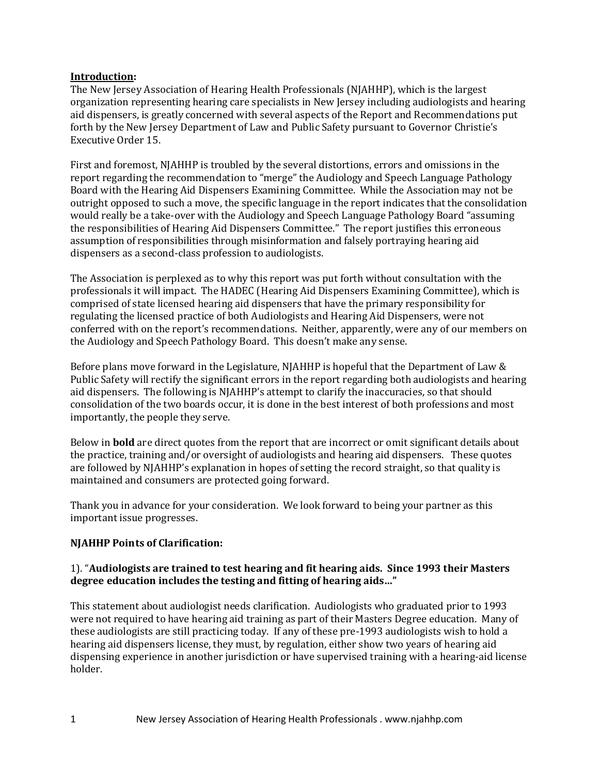#### **Introduction:**

The New Jersey Association of Hearing Health Professionals (NJAHHP), which is the largest organization representing hearing care specialists in New Jersey including audiologists and hearing aid dispensers, is greatly concerned with several aspects of the Report and Recommendations put forth by the New Jersey Department of Law and Public Safety pursuant to Governor Christie's Executive Order 15.

First and foremost, NJAHHP is troubled by the several distortions, errors and omissions in the report regarding the recommendation to "merge" the Audiology and Speech Language Pathology Board with the Hearing Aid Dispensers Examining Committee. While the Association may not be outright opposed to such a move, the specific language in the report indicates that the consolidation would really be a take-over with the Audiology and Speech Language Pathology Board "assuming the responsibilities of Hearing Aid Dispensers Committee." The report justifies this erroneous assumption of responsibilities through misinformation and falsely portraying hearing aid dispensers as a second-class profession to audiologists.

The Association is perplexed as to why this report was put forth without consultation with the professionals it will impact. The HADEC (Hearing Aid Dispensers Examining Committee), which is comprised of state licensed hearing aid dispensers that have the primary responsibility for regulating the licensed practice of both Audiologists and Hearing Aid Dispensers, were not conferred with on the report's recommendations. Neither, apparently, were any of our members on the Audiology and Speech Pathology Board. This doesn't make any sense.

Before plans move forward in the Legislature, NJAHHP is hopeful that the Department of Law & Public Safety will rectify the significant errors in the report regarding both audiologists and hearing aid dispensers. The following is NJAHHP's attempt to clarify the inaccuracies, so that should consolidation of the two boards occur, it is done in the best interest of both professions and most importantly, the people they serve.

Below in **bold** are direct quotes from the report that are incorrect or omit significant details about the practice, training and/or oversight of audiologists and hearing aid dispensers. These quotes are followed by NJAHHP's explanation in hopes of setting the record straight, so that quality is maintained and consumers are protected going forward.

Thank you in advance for your consideration. We look forward to being your partner as this important issue progresses.

### **NJAHHP Points of Clarification:**

#### 1). "**Audiologists are trained to test hearing and fit hearing aids. Since 1993 their Masters degree education includes the testing and fitting of hearing aids…"**

This statement about audiologist needs clarification. Audiologists who graduated prior to 1993 were not required to have hearing aid training as part of their Masters Degree education. Many of these audiologists are still practicing today. If any of these pre-1993 audiologists wish to hold a hearing aid dispensers license, they must, by regulation, either show two years of hearing aid dispensing experience in another jurisdiction or have supervised training with a hearing-aid license holder.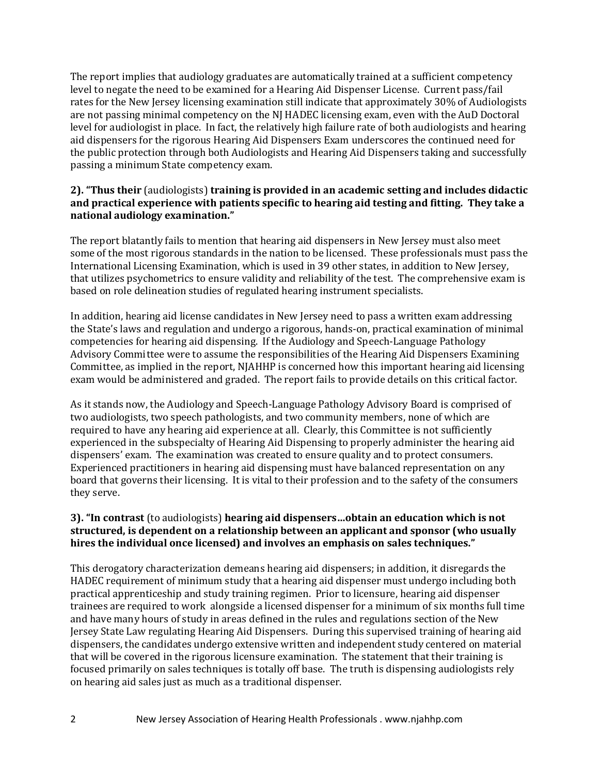The report implies that audiology graduates are automatically trained at a sufficient competency level to negate the need to be examined for a Hearing Aid Dispenser License. Current pass/fail rates for the New Jersey licensing examination still indicate that approximately 30% of Audiologists are not passing minimal competency on the NJ HADEC licensing exam, even with the AuD Doctoral level for audiologist in place. In fact, the relatively high failure rate of both audiologists and hearing aid dispensers for the rigorous Hearing Aid Dispensers Exam underscores the continued need for the public protection through both Audiologists and Hearing Aid Dispensers taking and successfully passing a minimum State competency exam.

### **2). "Thus their** (audiologists) **training is provided in an academic setting and includes didactic and practical experience with patients specific to hearing aid testing and fitting. They take a national audiology examination."**

The report blatantly fails to mention that hearing aid dispensers in New Jersey must also meet some of the most rigorous standards in the nation to be licensed. These professionals must pass the International Licensing Examination, which is used in 39 other states, in addition to New Jersey, that utilizes psychometrics to ensure validity and reliability of the test. The comprehensive exam is based on role delineation studies of regulated hearing instrument specialists.

In addition, hearing aid license candidates in New Jersey need to pass a written exam addressing the State's laws and regulation and undergo a rigorous, hands-on, practical examination of minimal competencies for hearing aid dispensing. If the Audiology and Speech-Language Pathology Advisory Committee were to assume the responsibilities of the Hearing Aid Dispensers Examining Committee, as implied in the report, NJAHHP is concerned how this important hearing aid licensing exam would be administered and graded. The report fails to provide details on this critical factor.

As it stands now, the Audiology and Speech-Language Pathology Advisory Board is comprised of two audiologists, two speech pathologists, and two community members, none of which are required to have any hearing aid experience at all. Clearly, this Committee is not sufficiently experienced in the subspecialty of Hearing Aid Dispensing to properly administer the hearing aid dispensers' exam. The examination was created to ensure quality and to protect consumers. Experienced practitioners in hearing aid dispensing must have balanced representation on any board that governs their licensing. It is vital to their profession and to the safety of the consumers they serve.

### **3). "In contrast** (to audiologists) **hearing aid dispensers…obtain an education which is not structured, is dependent on a relationship between an applicant and sponsor (who usually hires the individual once licensed) and involves an emphasis on sales techniques."**

This derogatory characterization demeans hearing aid dispensers; in addition, it disregards the HADEC requirement of minimum study that a hearing aid dispenser must undergo including both practical apprenticeship and study training regimen. Prior to licensure, hearing aid dispenser trainees are required to work alongside a licensed dispenser for a minimum of six months full time and have many hours of study in areas defined in the rules and regulations section of the New Jersey State Law regulating Hearing Aid Dispensers. During this supervised training of hearing aid dispensers, the candidates undergo extensive written and independent study centered on material that will be covered in the rigorous licensure examination. The statement that their training is focused primarily on sales techniques is totally off base. The truth is dispensing audiologists rely on hearing aid sales just as much as a traditional dispenser.